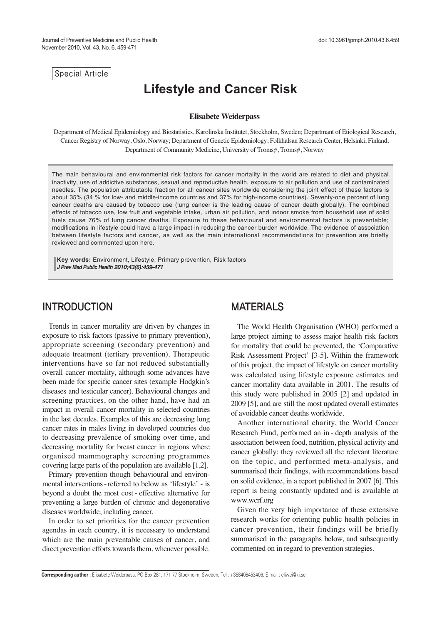Special Article

# **Lifestyle and Cancer Risk**

**Elisabete Weiderpass**

Department of Medical Epidemiology and Biostatistics, Karolinska Institutet, Stockholm, Sweden; Departmant of Etiological Research, Cancer Registry of Norway, Oslo, Norway; Department of Genetic Epidemiology, Folkhalsan Research Center, Helsinki, Finland; Department of Community Medicine, University of Tromsø, Tromsø, Norway

The main behavioural and environmental risk factors for cancer mortality in the world are related to diet and physical inactivity, use of addictive substances, sexual and reproductive health, exposure to air pollution and use of contaminated needles. The population attributable fraction for all cancer sites worldwide considering the joint effect of these factors is about 35% (34 % for low- and middle-income countries and 37% for high-income countries). Seventy-one percent of lung cancer deaths are caused by tobacco use (lung cancer is the leading cause of cancer death globally). The combined effects of tobacco use, low fruit and vegetable intake, urban air pollution, and indoor smoke from household use of solid fuels cause 76% of lung cancer deaths. Exposure to these behavioural and environmental factors is preventable; modifications in lifestyle could have a large impact in reducing the cancer burden worldwide. The evidence of association between lifestyle factors and cancer, as well as the main international recommendations for prevention are briefly reviewed and commented upon here.

**Key words:** Environment, Lifestyle, Primary prevention, Risk factors *J Prev Med Public Health 2010;43(6):459-471*

## INTRODUCTION

Trends in cancer mortality are driven by changes in exposure to risk factors (passive to primary prevention), appropriate screening (secondary prevention) and adequate treatment (tertiary prevention). Therapeutic interventions have so far not reduced substantially overall cancer mortality, although some advances have been made for specific cancer sites (example Hodgkin's diseases and testicular cancer). Behavioural changes and screening practices, on the other hand, have had an impact in overall cancer mortality in selected countries in the last decades. Examples of this are decreasing lung cancer rates in males living in developed countries due to decreasing prevalence of smoking over time, and decreasing mortality for breast cancer in regions where organised mammography screening programmes covering large parts of the population are available [1,2].

Primary prevention though behavioural and environmental interventions - referred to below as 'lifestyle' - is beyond a doubt the most cost - effective alternative for preventing a large burden of chronic and degenerative diseases worldwide, including cancer.

In order to set priorities for the cancer prevention agendas in each country, it is necessary to understand which are the main preventable causes of cancer, and direct prevention efforts towards them, whenever possible.

# MATERIALS

The World Health Organisation (WHO) performed a large project aiming to assess major health risk factors for mortality that could be prevented, the 'Comparative Risk Assessment Project' [3-5]. Within the framework of this project, the impact of lifestyle on cancer mortality was calculated using lifestyle exposure estimates and cancer mortality data available in 2001. The results of this study were published in 2005 [2] and updated in 2009 [5], and are still the most updated overall estimates of avoidable cancer deaths worldwide.

Another international charity, the World Cancer Research Fund, performed an in - depth analysis of the association between food, nutrition, physical activity and cancer globally: they reviewed all the relevant literature on the topic, and performed meta-analysis, and summarised their findings, with recommendations based on solid evidence, in a report published in 2007 [6]. This report is being constantly updated and is available at www.wcrf.org

Given the very high importance of these extensive research works for orienting public health policies in cancer prevention, their findings will be briefly summarised in the paragraphs below, and subsequently commented on in regard to prevention strategies.

**Corresponding author :** Elisabete Weiderpass, PO Box 281, 171 77 Stockholm, Sweden, Tel : +358408453406, E-mail : eliwei@ki.se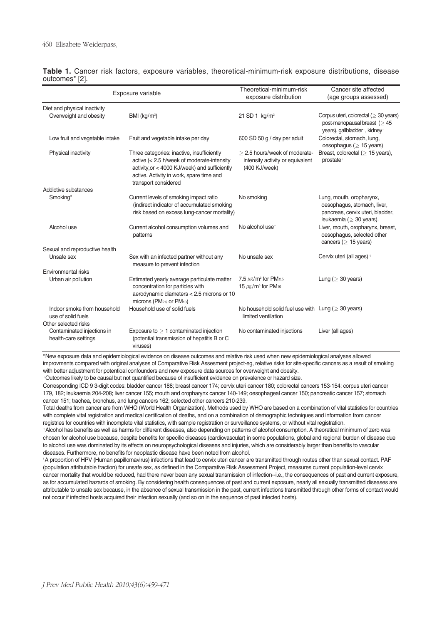|                                                                           | Exposure variable                                                                                                                                                                                             | Theoretical-minimum-risk<br>exposure distribution                                                  | Cancer site affected<br>(age groups assessed)                                                                                               |  |
|---------------------------------------------------------------------------|---------------------------------------------------------------------------------------------------------------------------------------------------------------------------------------------------------------|----------------------------------------------------------------------------------------------------|---------------------------------------------------------------------------------------------------------------------------------------------|--|
| Diet and physical inactivity                                              |                                                                                                                                                                                                               |                                                                                                    |                                                                                                                                             |  |
| Overweight and obesity                                                    | BMI ( $kg/m2$ )                                                                                                                                                                                               | $21$ SD 1 $\text{kg/m}^2$                                                                          | Corpus uteri, colorectal ( $\geq$ 30 years)<br>post-menopausal breast $( \geq 45$<br>years), gallbladder <sup>+</sup> , kidney <sup>+</sup> |  |
| Low fruit and vegetable intake                                            | Fruit and vegetable intake per day                                                                                                                                                                            | 600 SD 50 g / day per adult                                                                        | Colorectal, stomach, lung,<br>oesophagus ( $\geq$ 15 years)                                                                                 |  |
| Physical inactivity                                                       | Three categories: inactive, insufficiently<br>active (< 2.5 h/week of moderate-intensity<br>activity, or < 4000 KJ/week) and sufficiently<br>active. Activity in work, spare time and<br>transport considered | > 2.5 hours/week of moderate-<br>intensity activity or equivalent<br>(400 KJ/week)                 | Breast, colorectal ( $\geq$ 15 years),<br>prostate <sup>+</sup>                                                                             |  |
| Addictive substances                                                      |                                                                                                                                                                                                               |                                                                                                    |                                                                                                                                             |  |
| Smoking*                                                                  | Current levels of smoking impact ratio<br>(indirect indicator of accumulated smoking<br>risk based on excess lung-cancer mortality)                                                                           | No smoking                                                                                         | Lung, mouth, oropharynx,<br>oesophagus, stomach, liver,<br>pancreas, cervix uteri, bladder,<br>leukaemia ( $\geq$ 30 years).                |  |
| Alcohol use                                                               | Current alcohol consumption volumes and<br>patterns                                                                                                                                                           | No alcohol use <sup>+</sup>                                                                        | Liver, mouth, oropharynx, breast,<br>oesophagus, selected other<br>cancers ( $\geq$ 15 years)                                               |  |
| Sexual and reproductive health                                            |                                                                                                                                                                                                               |                                                                                                    |                                                                                                                                             |  |
| Unsafe sex                                                                | Sex with an infected partner without any<br>measure to prevent infection                                                                                                                                      | No unsafe sex                                                                                      | Cervix uteri (all ages) if                                                                                                                  |  |
| Environmental risks                                                       |                                                                                                                                                                                                               |                                                                                                    |                                                                                                                                             |  |
| Urban air pollution                                                       | Estimated yearly average particulate matter<br>concentration for particles with<br>aerodynamic diameters < 2.5 microns or 10<br>microns (PM2.5 or PM10)                                                       | 7.5 $\mu$ g/m <sup>3</sup> for PM <sub>2.5</sub><br>15 $\mu$ g/m <sup>3</sup> for PM <sub>10</sub> | Lung ( $\geq$ 30 years)                                                                                                                     |  |
| Indoor smoke from household<br>use of solid fuels<br>Other selected risks | Household use of solid fuels                                                                                                                                                                                  | No household solid fuel use with $Lung$ ( $\geq$ 30 years)<br>limited ventilation                  |                                                                                                                                             |  |
| Contaminated injections in<br>health-care settings                        | Exposure to $\geq 1$ contaminated injection<br>(potential transmission of hepatitis B or C<br>viruses)                                                                                                        | No contaminated injections                                                                         | Liver (all ages)                                                                                                                            |  |

**Table 1.** Cancer risk factors, exposure variables, theoretical-minimum-risk exposure distributions, disease outcomes\* [2].

\*New exposure data and epidemiological evidence on disease outcomes and relative risk used when new epidemiological analyses allowed improvments compared with original analyses of Comparative Risk Assesment project-eg, relative risks for site-specific cancers as a result of smoking with better adjustment for potentioal confounders and new exposure data sources for overweight and obesity.

†Outcomes likely to be causal but not quantified because of insufficient evidence on prevalence or hazard size.

Corresponding ICD 9 3-digit codes: bladder cancer 188; breast cancer 174; cervix uteri cancer 180; colorectal cancers 153-154; corpus uteri cancer 179, 182; leukaemia 204-208; liver cancer 155; mouth and oropharynx cancer 140-149; oesophageal cancer 150; pancreatic cancer 157; stomach cancer 151; trachea, bronchus, and lung cancers 162; selected other cancers 210-239.

Total deaths from cancer are from WHO (World Health Organization). Methods used by WHO are based on a combination of vital statistics for countries with complete vital registration and medical certification of deaths, and on a combination of demographic techniques and information from cancer registries for countries with incomplete vital statistics, with sample registration or surveillance systems, or without vital registration.

‡Alcohol has benefits as well as harms for different diseases, also depending on patterns of alcohol consumption. A theoretical minimum of zero was chosen for alcohol use because, despite benefits for specific diseases (cardiovascular) in some populations, global and regional burden of disease due to alcohol use was dominated by its effects on neuropsychological diseases and injuries, which are considerably larger than benefits to vascular diseases. Furthermore, no benefits for neoplastic disease have been noted from alcohol.

<sup>§</sup>A proportion of HPV (Human papillomavirus) infections that lead to cervix uteri cancer are transmitted through routes other than sexual contact. PAF (population attributable fraction) for unsafe sex, as defined in the Comparative Risk Assessment Project, measures current population-level cervix cancer mortality that would be reduced, had there never been any sexual transmission of infection--i.e., the consequences of past and current exposure, as for accumulated hazards of smoking. By considering health consequences of past and current exposure, nearly all sexually transmitted diseases are attributable to unsafe sex because, in the absence of sexual transmission in the past, current infections transmitted through other forms of contact would not occur if infected hosts acquired their infection sexually (and so on in the sequence of past infected hosts).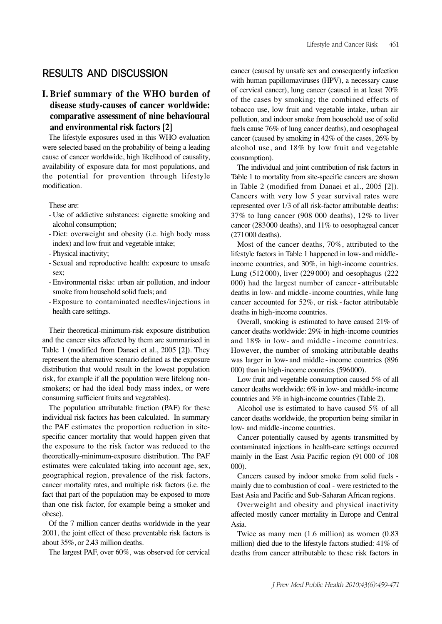# RESULTS AND DISCUSSION

## **I. Brief summary of the WHO burden of disease study-causes of cancer worldwide: comparative assessment of nine behavioural and environmental risk factors [2]**

The lifestyle exposures used in this WHO evaluation were selected based on the probability of being a leading cause of cancer worldwide, high likelihood of causality, availability of exposure data for most populations, and the potential for prevention through lifestyle modification.

These are:

- Use of addictive substances: cigarette smoking and alcohol consumption;
- Diet: overweight and obesity (i.e. high body mass index) and low fruit and vegetable intake;
- Physical inactivity;
- Sexual and reproductive health: exposure to unsafe sex;
- Environmental risks: urban air pollution, and indoor smoke from household solid fuels; and
- Exposure to contaminated needles/injections in health care settings.

Their theoretical-minimum-risk exposure distribution and the cancer sites affected by them are summarised in Table 1 (modified from Danaei et al., 2005 [2]). They represent the alternative scenario defined as the exposure distribution that would result in the lowest population risk, for example if all the population were lifelong nonsmokers; or had the ideal body mass index, or were consuming sufficient fruits and vegetables).

The population attributable fraction (PAF) for these individual risk factors has been calculated. In summary the PAF estimates the proportion reduction in sitespecific cancer mortality that would happen given that the exposure to the risk factor was reduced to the theoretically-minimum-exposure distribution. The PAF estimates were calculated taking into account age, sex, geographical region, prevalence of the risk factors, cancer mortality rates, and multiple risk factors (i.e. the fact that part of the population may be exposed to more than one risk factor, for example being a smoker and obese).

Of the 7 million cancer deaths worldwide in the year 2001, the joint effect of these preventable risk factors is about 35%, or 2.43 million deaths.

The largest PAF, over 60%, was observed for cervical

cancer (caused by unsafe sex and consequently infection with human papillomaviruses (HPV), a necessary cause of cervical cancer), lung cancer (caused in at least 70% of the cases by smoking; the combined effects of tobacco use, low fruit and vegetable intake, urban air pollution, and indoor smoke from household use of solid fuels cause 76% of lung cancer deaths), and oesophageal cancer (caused by smoking in 42% of the cases, 26% by alcohol use, and 18% by low fruit and vegetable consumption).

The individual and joint contribution of risk factors in Table 1 to mortality from site-specific cancers are shown in Table 2 (modified from Danaei et al., 2005 [2]). Cancers with very low 5 year survival rates were represented over 1/3 of all risk-factor attributable deaths: 37% to lung cancer (908 000 deaths), 12% to liver cancer (283000 deaths), and 11% to oesophageal cancer (271000 deaths).

Most of the cancer deaths, 70%, attributed to the lifestyle factors in Table 1 happened in low- and middleincome countries, and 30%, in high-income countries. Lung (512 000), liver (229 000) and oesophagus (222 000) had the largest number of cancer - attributable deaths in low- and middle-income countries, while lung cancer accounted for 52%, or risk - factor attributable deaths in high-income countries.

Overall, smoking is estimated to have caused 21% of cancer deaths worldwide: 29% in high-income countries and 18% in low- and middle - income countries. However, the number of smoking attributable deaths was larger in low- and middle - income countries (896 000) than in high-income countries (596000).

Low fruit and vegetable consumption caused 5% of all cancer deaths worldwide: 6% in low- and middle-income countries and 3% in high-income countries (Table 2).

Alcohol use is estimated to have caused 5% of all cancer deaths worldwide, the proportion being similar in low- and middle-income countries.

Cancer potentially caused by agents transmitted by contaminated injections in health-care settings occurred mainly in the East Asia Pacific region (91 000 of 108 000).

Cancers caused by indoor smoke from solid fuels mainly due to combustion of coal - were restricted to the East Asia and Pacific and Sub-Saharan African regions.

Overweight and obesity and physical inactivity affected mostly cancer mortality in Europe and Central Asia.

Twice as many men (1.6 million) as women (0.83 million) died due to the lifestyle factors studied: 41% of deaths from cancer attributable to these risk factors in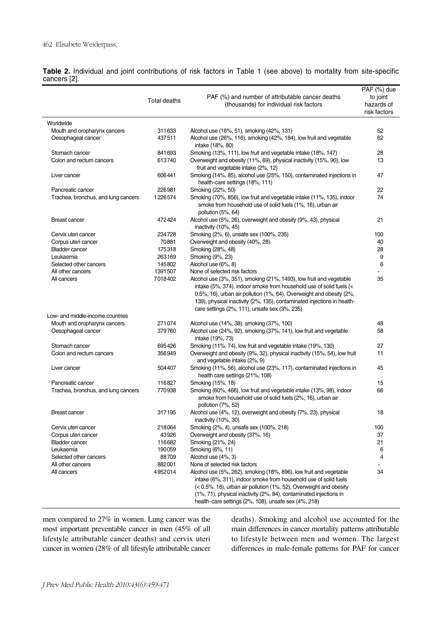| Table 2. Individual and joint contributions of risk factors in Table 1 (see above) to mortality from site-specific |  |  |  |  |  |  |
|--------------------------------------------------------------------------------------------------------------------|--|--|--|--|--|--|
| cancers [2].                                                                                                       |  |  |  |  |  |  |

|                                                 |              |                                                                                                                                                                                                                                                                                                                                                        | PAF (%) due  |
|-------------------------------------------------|--------------|--------------------------------------------------------------------------------------------------------------------------------------------------------------------------------------------------------------------------------------------------------------------------------------------------------------------------------------------------------|--------------|
|                                                 |              | PAF (%) and number of attributable cancer deaths                                                                                                                                                                                                                                                                                                       | to joint     |
|                                                 | Total deaths | (thousands) for individual risk factors                                                                                                                                                                                                                                                                                                                | hazards of   |
|                                                 |              |                                                                                                                                                                                                                                                                                                                                                        | risk factors |
| Worldwide                                       |              |                                                                                                                                                                                                                                                                                                                                                        |              |
| Mouth and oropharynx cancers                    | 311633       | Alcohol use (16%, 51), smoking (42%, 131)                                                                                                                                                                                                                                                                                                              | 52           |
| Oesophageal cancer                              | 437511       | Alcohol use (26%, 116), smoking (42%, 184), low fruit and vegetable<br>intake (18%, 80)                                                                                                                                                                                                                                                                | 62           |
| Stomach cancer                                  | 841693       | Smoking (13%, 111), low fruit and vegetable intake (18%, 147)                                                                                                                                                                                                                                                                                          | 28           |
| Colon and rectum cancers                        | 613740       | Overweight and obesity (11%, 69), physical inactivity (15%, 90), low<br>fruit and vegetable intake (2%, 12)                                                                                                                                                                                                                                            | 13           |
| Liver cancer                                    | 606441       | Smoking (14%, 85), alcohol use (25%, 150), contaminated injections in<br>health-care settings (18%, 111)                                                                                                                                                                                                                                               | 47           |
| Pancreatic cancer                               | 226981       | Smoking (22%, 50)                                                                                                                                                                                                                                                                                                                                      | 22           |
| Trachea, bronchus, and lung cancers             | 1226574      | Smoking (70%, 856), low fruit and vegetable intake (11%, 135), indoor<br>smoke from household use of solid fuels (1%, 16), urban air<br>pollution (5%, 64)                                                                                                                                                                                             | 74           |
| <b>Breast cancer</b>                            | 472424       | Alcohol use (5%, 26), overweight and obesity (9%, 43), physical<br>inactivity (10%, 45)                                                                                                                                                                                                                                                                | 21           |
| Cervix uteri cancer                             | 234728       | Smoking (2%, 6), unsafe sex (100%, 235)                                                                                                                                                                                                                                                                                                                | 100          |
| Corpus uteri cancer                             | 70881        | Overweight and obesity (40%, 28)                                                                                                                                                                                                                                                                                                                       | 40           |
| <b>Bladder cancer</b>                           | 175318       | Smoking (28%, 48)                                                                                                                                                                                                                                                                                                                                      | 28           |
| Leukaemia                                       | 263169       | Smoking (9%, 23)                                                                                                                                                                                                                                                                                                                                       | 9            |
| Selected other cancers                          | 145802       | Alcohol use (6%, 8)                                                                                                                                                                                                                                                                                                                                    | 6            |
| All other cancers                               | 1391507      | None of selected risk factors                                                                                                                                                                                                                                                                                                                          |              |
| All cancers<br>Low- and middle-income countries | 7018402      | Alcohol use (3%, 351), smoking (21%, 1493), low fruit and vegetable<br>intake (5%, 374), indoor smoke from household use of solid fuels $\left($ <<br>0.5%, 16), urban air pollution (1%, 64), Overweight and obesity (2%,<br>139), physical inactivity (2%, 135), contaminated injections in health-<br>care settings (2%, 111), unsafe sex (3%, 235) | 35           |
| Mouth and oropharynx cancers                    | 271074       | Alcohol use (14%, 38), smoking (37%, 100)                                                                                                                                                                                                                                                                                                              | 48           |
| Oesophageal cancer                              | 379760       | Alcohol use (24%, 92), smoking (37%, 141), low fruit and vegetable                                                                                                                                                                                                                                                                                     | 58           |
|                                                 |              | intake (19%, 73)                                                                                                                                                                                                                                                                                                                                       |              |
| Stomach cancer                                  | 695426       | Smoking (11%, 74), low fruit and vegetable intake (19%, 130)                                                                                                                                                                                                                                                                                           | 27           |
| Colon and rectum cancers                        | 356949       | Overweight and obesity (9%, 32), physical inactivity (15%, 54), low fruit<br>and vegetable intake (2%, 9)                                                                                                                                                                                                                                              | 11           |
| Liver cancer                                    | 504407       | Smoking (11%, 56), alcohol use (23%, 117), contaminated injections in<br>health care settings (21%, 108)                                                                                                                                                                                                                                               | 45           |
| Pancreatic cancer                               | 116827       | Smoking (15%, 18)                                                                                                                                                                                                                                                                                                                                      | 15           |
| Trachea, bronchus, and lung cancers             | 770938       | Smoking (60%, 466), low fruit and vegetable intake (13%, 98), indoor<br>smoke from household use of solid fuels (2%, 16), urban air<br>pollution (7%, 52)                                                                                                                                                                                              | 66           |
| <b>Breast cancer</b>                            | 317195       | Alcohol use (4%, 12), overweight and obesity (7%, 23), physical<br>inactivity (10%, 30)                                                                                                                                                                                                                                                                | 18           |
| Cervix uteri cancer                             | 218064       | Smoking (2%, 4), unsafe sex (100%, 218)                                                                                                                                                                                                                                                                                                                | 100          |
| Corpus uteri cancer                             | 43926        | Overweight and obesity (37%, 16)                                                                                                                                                                                                                                                                                                                       | 37           |
| <b>Bladder cancer</b>                           | 116682       | Smoking (21%, 24)                                                                                                                                                                                                                                                                                                                                      | 21           |
| Leukaemia                                       | 190059       | Smoking (6%, 11)                                                                                                                                                                                                                                                                                                                                       | 6            |
| Selected other cancers                          | 88709        | Alcohol use (4%, 3)                                                                                                                                                                                                                                                                                                                                    | 4            |
| All other cancers                               | 882001       | None of selected risk factors                                                                                                                                                                                                                                                                                                                          |              |
| All cancers                                     | 4952014      | Alcohol use (5%, 262), smoking (18%, 896), low fruit and vegetable<br>intake (6%, 311), indoor smoke from household use of solid fuels<br>(< 0.5%, 16), urban air pollution (1%, 52), Overweight and obesity<br>(1%, 71), physical inactivity (2%, 84), contaminated injections in<br>health-care settings (2%, 108), unsafe sex (4%, 218)             | 34           |

men compared to 27% in women. Lung cancer was the most important preventable cancer in men (45% of all lifestyle attributable cancer deaths) and cervix uteri cancer in women (28% of all lifestyle attributable cancer deaths). Smoking and alcohol use accounted for the main differences in cancer mortality patterns attributable to lifestyle between men and women. The largest differences in male-female patterns for PAF for cancer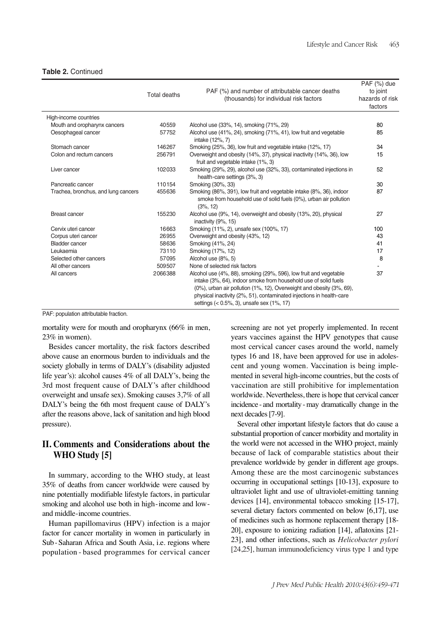### **Table 2.** Continued

|                                     | <b>Total deaths</b> | PAF (%) and number of attributable cancer deaths<br>(thousands) for individual risk factors                                                                                                                                                                                                                                       | PAF (%) due<br>to joint<br>hazards of risk<br>factors |
|-------------------------------------|---------------------|-----------------------------------------------------------------------------------------------------------------------------------------------------------------------------------------------------------------------------------------------------------------------------------------------------------------------------------|-------------------------------------------------------|
| High-income countries               |                     |                                                                                                                                                                                                                                                                                                                                   |                                                       |
| Mouth and oropharynx cancers        | 40559               | Alcohol use (33%, 14), smoking (71%, 29)                                                                                                                                                                                                                                                                                          | 80                                                    |
| Oesophageal cancer                  | 57752               | Alcohol use (41%, 24), smoking (71%, 41), low fruit and vegetable<br>intake (12%, 7)                                                                                                                                                                                                                                              | 85                                                    |
| Stomach cancer                      | 146267              | Smoking (25%, 36), low fruit and vegetable intake (12%, 17)                                                                                                                                                                                                                                                                       | 34                                                    |
| Colon and rectum cancers            | 256791              | Overweight and obesity (14%, 37), physical inactivity (14%, 36), low<br>fruit and vegetable intake (1%, 3)                                                                                                                                                                                                                        | 15                                                    |
| Liver cancer                        | 102033              | Smoking (29%, 29), alcohol use (32%, 33), contaminated injections in<br>health-care settings (3%, 3)                                                                                                                                                                                                                              | 52                                                    |
| Pancreatic cancer                   | 110154              | Smoking (30%, 33)                                                                                                                                                                                                                                                                                                                 | 30                                                    |
| Trachea, bronchus, and lung cancers | 455636              | Smoking (86%, 391), low fruit and vegetable intake (8%, 36), indoor<br>smoke from household use of solid fuels (0%), urban air pollution<br>(3%, 12)                                                                                                                                                                              | 87                                                    |
| <b>Breast cancer</b>                | 155230              | Alcohol use (9%, 14), overweight and obesity (13%, 20), physical<br>inactivity (9%, 15)                                                                                                                                                                                                                                           | 27                                                    |
| Cervix uteri cancer                 | 16663               | Smoking (11%, 2), unsafe sex (100%, 17)                                                                                                                                                                                                                                                                                           | 100                                                   |
| Corpus uteri cancer                 | 26955               | Overweight and obesity (43%, 12)                                                                                                                                                                                                                                                                                                  | 43                                                    |
| Bladder cancer                      | 58636               | Smoking (41%, 24)                                                                                                                                                                                                                                                                                                                 | 41                                                    |
| Leukaemia                           | 73110               | Smoking (17%, 12)                                                                                                                                                                                                                                                                                                                 | 17                                                    |
| Selected other cancers              | 57095               | Alcohol use (8%, 5)                                                                                                                                                                                                                                                                                                               | 8                                                     |
| All other cancers                   | 509507              | None of selected risk factors                                                                                                                                                                                                                                                                                                     |                                                       |
| All cancers                         | 2066388             | Alcohol use (4%, 88), smoking (29%, 596), low fruit and vegetable<br>intake (3%, 64), indoor smoke from household use of solid fuels<br>(0%), urban air pollution (1%, 12), Overweight and obesity (3%, 69),<br>physical inactivity (2%, 51), contaminated injections in health-care<br>settings (< 0.5%, 3), unsafe sex (1%, 17) | 37                                                    |

PAF: population attributable fraction.

mortality were for mouth and oropharynx (66% in men, 23% in women).

Besides cancer mortality, the risk factors described above cause an enormous burden to individuals and the society globally in terms of DALY's (disability adjusted life year's): alcohol causes 4% of all DALY's, being the 3rd most frequent cause of DALY's after childhood overweight and unsafe sex). Smoking causes 3,7% of all DALY's being the 6th most frequent cause of DALY's after the reasons above, lack of sanitation and high blood pressure).

### **II. Comments and Considerations about the WHO Study [5]**

In summary, according to the WHO study, at least 35% of deaths from cancer worldwide were caused by nine potentially modifiable lifestyle factors, in particular smoking and alcohol use both in high-income and lowand middle-income countries.

Human papillomavirus (HPV) infection is a major factor for cancer mortality in women in particularly in Sub-Saharan Africa and South Asia, i.e. regions where population - based programmes for cervical cancer screening are not yet properly implemented. In recent years vaccines against the HPV genotypes that cause most cervical cancer cases around the world, namely types 16 and 18, have been approved for use in adolescent and young women. Vaccination is being implemented in several high-income countries, but the costs of vaccination are still prohibitive for implementation worldwide. Nevertheless, there is hope that cervical cancer incidence- and mortality- may dramatically change in the next decades [7-9].

Several other important lifestyle factors that do cause a substantial proportion of cancer morbidity and mortality in the world were not accessed in the WHO project, mainly because of lack of comparable statistics about their prevalence worldwide by gender in different age groups. Among these are the most carcinogenic substances occurring in occupational settings [10-13], exposure to ultraviolet light and use of ultraviolet-emitting tanning devices [14], environmental tobacco smoking [15-17], several dietary factors commented on below [6,17], use of medicines such as hormone replacement therapy [18- 20], exposure to ionizing radiation [14], aflatoxins [21- 23], and other infections, such as *Helicobacter pylori* [24,25], human immunodeficiency virus type 1 and type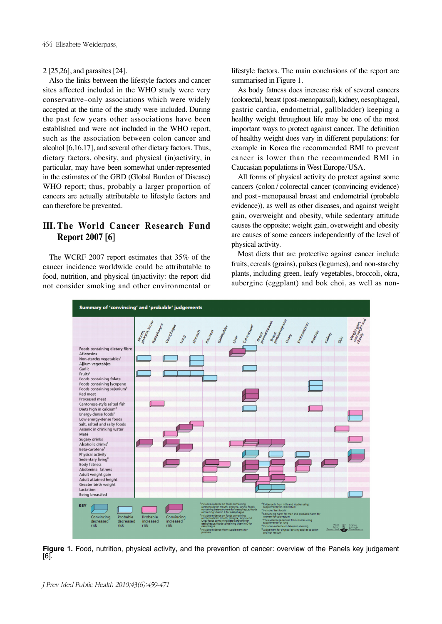#### 2 [25,26], and parasites [24].

Also the links between the lifestyle factors and cancer sites affected included in the WHO study were very conservative-only associations which were widely accepted at the time of the study were included. During the past few years other associations have been established and were not included in the WHO report, such as the association between colon cancer and alcohol [6,16,17], and several other dietary factors. Thus, dietary factors, obesity, and physical (in)activity, in particular, may have been somewhat under-represented in the estimates of the GBD (Global Burden of Disease) WHO report; thus, probably a larger proportion of cancers are actually attributable to lifestyle factors and can therefore be prevented.

### **III. The World Cancer Research Fund Report 2007 [6]**

The WCRF 2007 report estimates that 35% of the cancer incidence worldwide could be attributable to food, nutrition, and physical (in)activity: the report did not consider smoking and other environmental or lifestyle factors. The main conclusions of the report are summarised in Figure 1.

As body fatness does increase risk of several cancers (colorectal, breast (post-menopausal), kidney, oesophageal, gastric cardia, endometrial, gallbladder) keeping a healthy weight throughout life may be one of the most important ways to protect against cancer. The definition of healthy weight does vary in different populations: for example in Korea the recommended BMI to prevent cancer is lower than the recommended BMI in Caucasian populations in West Europe/USA.

All forms of physical activity do protect against some cancers (colon / colorectal cancer (convincing evidence) and post - menopausal breast and endometrial (probable evidence)), as well as other diseases, and against weight gain, overweight and obesity, while sedentary attitude causes the opposite; weight gain, overweight and obesity are causes of some cancers independently of the level of physical activity.

Most diets that are protective against cancer include fruits, cereals (grains), pulses (legumes), and non-starchy plants, including green, leafy vegetables, broccoli, okra, aubergine (eggplant) and bok choi, as well as non-



**Figure 1.** Food, nutrition, physical activity, and the prevention of cancer: overview of the Panels key judgement [6].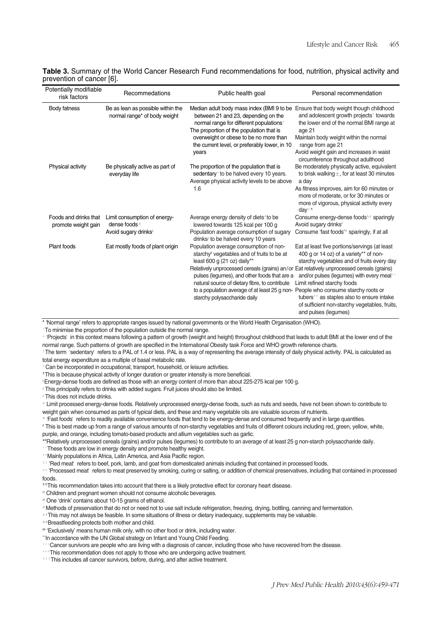| Table 3. Summary of the World Cancer Research Fund recommendations for food, nutrition, physical activity and |  |  |
|---------------------------------------------------------------------------------------------------------------|--|--|
| prevention of cancer [6].                                                                                     |  |  |

| Potentially modifiable<br>risk factors       | Recommedations                                                    | Public health goal                                                                                                                                                                                                                                                                                                                                                                                                                                  | Personal recommendation                                                                                                                                                                                                                                                                                                                  |
|----------------------------------------------|-------------------------------------------------------------------|-----------------------------------------------------------------------------------------------------------------------------------------------------------------------------------------------------------------------------------------------------------------------------------------------------------------------------------------------------------------------------------------------------------------------------------------------------|------------------------------------------------------------------------------------------------------------------------------------------------------------------------------------------------------------------------------------------------------------------------------------------------------------------------------------------|
| Body fatness                                 | Be as lean as possible within the<br>normal range* of body weight | Median adult body mass index (BMI 9 to be Ensure that body weight though childhood<br>between 21 and 23, depending on the<br>normal range for different populations <sup>+</sup><br>The proportion of the population that is                                                                                                                                                                                                                        | and adolescent growth projects <sup>+</sup> towards<br>the lower end of the normal BMI range at<br>age 21                                                                                                                                                                                                                                |
|                                              |                                                                   | overweight or obese to be no more than<br>the current level, or preferably lower, in 10<br>years                                                                                                                                                                                                                                                                                                                                                    | Maintain body weight within the normal<br>range from age 21<br>Avoid weight gain and increases in waist                                                                                                                                                                                                                                  |
|                                              |                                                                   |                                                                                                                                                                                                                                                                                                                                                                                                                                                     | circumference throughout adulthood                                                                                                                                                                                                                                                                                                       |
| Physical activity                            | Be physically active as part of<br>everyday life                  | The proportion of the population that is<br>sedentary <sup>®</sup> to be halved every 10 years.<br>Average physical activity levels to be above                                                                                                                                                                                                                                                                                                     | Be moderately physically active, equivalent<br>to brisk walking $\pm$ , for at least 30 minutes<br>a day                                                                                                                                                                                                                                 |
|                                              |                                                                   | 1.6                                                                                                                                                                                                                                                                                                                                                                                                                                                 | As fitness improves, aim for 60 minutes or<br>more of moderate, or for 30 minutes or<br>more of vigorous, physical activity every<br>$day^{\pm,1}$                                                                                                                                                                                       |
| Foods and drinks that<br>promote weight gain | Limit consumption of energy-<br>dense foods <sup>§</sup>          | Average energy density of diets <sup>3</sup> to be<br>lowered towards 125 kcal per 100 g                                                                                                                                                                                                                                                                                                                                                            | Consume energy-dense foods <sup>\$, £</sup> sparingly<br>Avoid sugary drinks <sup>®</sup>                                                                                                                                                                                                                                                |
|                                              | Avoid sugary drinks <sup>®</sup>                                  | Population average consumption of sugary<br>drinks <sup>®</sup> to be halved every 10 years                                                                                                                                                                                                                                                                                                                                                         | Consume 'fast foods' <sup>∉</sup> sparingly, if at all                                                                                                                                                                                                                                                                                   |
| Plant foods                                  | Eat mostly foods of plant origin                                  | Population average consumption of non-<br>starchy <sup>#</sup> vegetables and of fruits to be at<br>least 600 g (21 oz) daily**<br>Relatively unprocessed cereals (grains) an/or Eat relatively unprocessed cereals (grains)<br>pulses (legumes), and other foods that are a<br>natural source of dietary fibre, to contribute<br>to a population average of at least 25 g non- People who consume starchy roots or<br>starchy polysaccharide daily | Eat at least five portions/servings (at least<br>400 g or 14 oz) of a variety** of non-<br>starchy vegetables and of fruits every day<br>and/or pulses (legumes) with every meal <sup>++</sup><br>Limit refined starchy foods<br>tubers <sup>*</sup> * as staples also to ensure intake<br>of sufficient non-starchy vegetables, fruits, |
|                                              |                                                                   |                                                                                                                                                                                                                                                                                                                                                                                                                                                     | and pulses (legumes)                                                                                                                                                                                                                                                                                                                     |

\* 'Normal range' refers to appropriate ranges issued by national governments or the World Health Organisation (WHO).

†To minimise the proportion of the population outside the normal range.

the Projects' in this context means following a pattern of growth (weight and height) throughout childhood that leads to adult BMI at the lower end of the normal range. Such patterns of growth are specified in the International Obesity task Force and WHO growth reference charts.

‖The term 'sedentary'refers to a PAL of 1.4 or less. PAL is a way of representing the average intensity of daily physical activity. PAL is calculated as total energy expenditure as a multiple of basal metabolic rate.

<sup>±</sup> Can be incorporated in occupational, transport, household, or leisure activities.

**This is because physical activity of longer duration or greater intensity is more beneficial.** 

§Energy-dense foods are defined as those with an energy content of more than about 225-275 kcal per 100 g.

β This principally refers to drinks with added sugars. Fruit juices should also be limited.

<sup>λ</sup> This does not include drinks.

£ Limit processed energy-dense foods. Relatively unprocessed energy-dense foods, such as nuts and seeds, have not been shown to contribute to weight gain when consumed as parts of typical diets, and these and many vegetable oils are valuable sources of nutrients.

\* 'Fast foods' refers to readily available convenience foods that tend to be energy-dense and consumed frequently and in large quantities.

\* This is best made up from a range of various amounts of non-starchy vegetables and fruits of different colours including red, green, yellow, white, purple, and orange, including tomato-based products and allium vegetables such as garlic.

\*\*Relatively unprocessed cereals (grains) and/or pulses (legumes) to contribute to an average of at least 25 g non-starch polysaccharide daily.

††These foods are low in energy density and promote healthy weight.

‡‡Mainly populations in Africa, Latin America, and Asia Pacific region.

‖‖ 'Red meat'refers to beef, pork, lamb, and goat from domesticated animals including that contained in processed foods.

±± 'Processed meat'refers to meat preserved by smoking, curing or salting, or addition of chemical preservatives, including that contained in processed foods.

¶¶This recommendation takes into account that there is a likely protective effect for coronary heart disease.

<sup>§§</sup> Children and pregnant women should not consume alcoholic beverages.

ββ One 'drink' contains about 10-15 grams of ethanol.

<sup>λλ</sup> Methods of preservation that do not or need not to use salt include refrigeration, freezing, drying, bottling, canning and fermentation.

<sup>£ £</sup>This may not always be feasible. In some situations of illness or dietary inadequacy, supplements may be valuable.

Breastfeeding protects both mother and child.

**IIIThis includes all cancer survivors, before, during, and after active treatment.** 

<sup># &#</sup>x27;Exclusively' means human milk only, with no other food or drink, including water.

<sup>&</sup>quot;In accordance with the UN Global strategy on Infant and Young Child Feeding.

<sup>†††</sup>Cancer survivors are people who are living with a diagnosis of cancer, including those who have recovered from the disease.

<sup>‡‡‡</sup>This recommendation does not apply to those who are undergoing active treatment.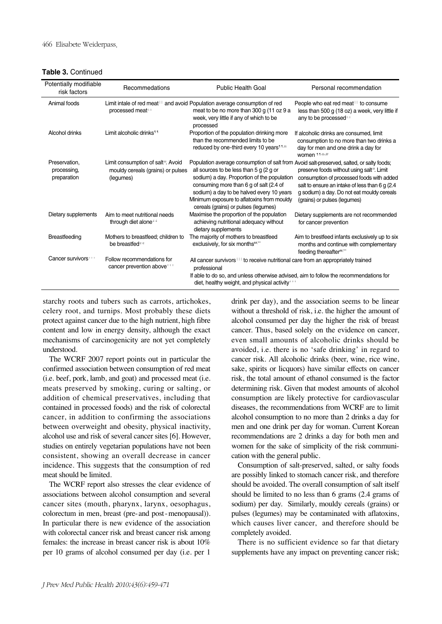|  |  | Table 3. Continued |
|--|--|--------------------|
|--|--|--------------------|

| Potentially modifiable<br>risk factors      | Recommedations                                                                                    | <b>Public Health Goal</b>                                                                                                                                                                                                                                                                                                                                         | Personal recommendation                                                                                                                                                                                                               |
|---------------------------------------------|---------------------------------------------------------------------------------------------------|-------------------------------------------------------------------------------------------------------------------------------------------------------------------------------------------------------------------------------------------------------------------------------------------------------------------------------------------------------------------|---------------------------------------------------------------------------------------------------------------------------------------------------------------------------------------------------------------------------------------|
| Animal foods                                | processed meat <sup>±±</sup>                                                                      | Limit intale of red meat <sup>[1]</sup> and avoid Population average consumption of red<br>meat to be no more than 300 g (11 oz 9 a<br>week, very little if any of which to be<br>processed                                                                                                                                                                       | People who eat red meat <sup>11</sup> to consume<br>less than 500 g (18 oz) a week, very little if<br>any to be processed <sup>##</sup>                                                                                               |
| Alcohol drinks                              | Limit alcoholic drinks <sup>11</sup>                                                              | Proportion of the population drinking more<br>than the recommended limits to be<br>reduced by one-third every 10 years <sup>11,55</sup>                                                                                                                                                                                                                           | If alcoholic drinks are consumed. limit<br>consumption to no more than two drinks a<br>day for men and one drink a day for<br>WOMEN 11, 55, AP                                                                                        |
| Preservation,<br>processing,<br>preparation | Limit consumption of salt <sup>32</sup> . Avoid<br>mouldy cereals (grains) or pulses<br>(legumes) | Population average consumption of salt from Avoid salt-preserved, salted, or salty foods;<br>all sources to be less than 5 g (2 g or<br>sodium) a day. Proportion of the population<br>consuming more than 6 g of salt (2.4 of<br>sodium) a day to be halved every 10 years<br>Minimum exposure to aflatoxins from mouldy<br>cereals (grains) or pulses (legumes) | preserve foods without using salt <sup>32</sup> . Limit<br>consumption of processed foods with added<br>salt to ensure an intake of less than 6 g (2.4)<br>g sodium) a day. Do not eat mouldy cereals<br>(grains) or pulses (legumes) |
| Dietary supplements                         | Aim to meet nutritional needs<br>through diet alone <sup>£ £</sup>                                | Maximise the proportion of the population<br>achieving nutritional adequacy without<br>dietary supplements                                                                                                                                                                                                                                                        | Dietary supplements are not recommended<br>for cancer prevention                                                                                                                                                                      |
| Breastfeeding                               | Mothers to breastfeed; children to<br>be breastfed <sup>∉∉</sup>                                  | The majority of mothers to breastfeed<br>exclusively, for six months***.""                                                                                                                                                                                                                                                                                        | Aim to brestfeed infants exclusively up to six<br>months and continue with complementary<br>feeding thereafter******                                                                                                                  |
| Cancer survivors <sup>+++</sup>             | Follow recommendations for<br>cancer prevention above ***                                         | All cancer survivors III to receive nutritional care from an appropriately trained<br>professional<br>If able to do so, and unless otherwise advised, aim to follow the recommendations for<br>diet, healthy weight, and physical activity <sup>***</sup>                                                                                                         |                                                                                                                                                                                                                                       |

starchy roots and tubers such as carrots, artichokes, celery root, and turnips. Most probably these diets protect against cancer due to the high nutrient, high fibre content and low in energy density, although the exact mechanisms of carcinogenicity are not yet completely understood.

The WCRF 2007 report points out in particular the confirmed association between consumption of red meat (i.e. beef, pork, lamb, and goat) and processed meat (i.e. meats preserved by smoking, curing or salting, or addition of chemical preservatives, including that contained in processed foods) and the risk of colorectal cancer, in addition to confirming the associations between overweight and obesity, physical inactivity, alcohol use and risk of several cancer sites [6]. However, studies on entirely vegetarian populations have not been consistent, showing an overall decrease in cancer incidence. This suggests that the consumption of red meat should be limited.

The WCRF report also stresses the clear evidence of associations between alcohol consumption and several cancer sites (mouth, pharynx, larynx, oesophagus, colorectum in men, breast (pre-and post-menopausal)). In particular there is new evidence of the association with colorectal cancer risk and breast cancer risk among females: the increase in breast cancer risk is about 10% per 10 grams of alcohol consumed per day (i.e. per 1

drink per day), and the association seems to be linear without a threshold of risk, i.e. the higher the amount of alcohol consumed per day the higher the risk of breast cancer. Thus, based solely on the evidence on cancer, even small amounts of alcoholic drinks should be avoided, i.e. there is no 'safe drinking' in regard to cancer risk. All alcoholic drinks (beer, wine, rice wine, sake, spirits or licquors) have similar effects on cancer risk, the total amount of ethanol consumed is the factor determining risk. Given that modest amounts of alcohol consumption are likely protective for cardiovascular diseases, the recommendations from WCRF are to limit alcohol consumption to no more than 2 drinks a day for men and one drink per day for woman. Current Korean recommendations are 2 drinks a day for both men and women for the sake of simplicity of the risk communication with the general public.

Consumption of salt-preserved, salted, or salty foods are possibly linked to stomach cancer risk, and therefore should be avoided. The overall consumption of salt itself should be limited to no less than 6 grams (2.4 grams of sodium) per day. Similarly, mouldy cereals (grains) or pulses (legumes) may be contaminated with aflatoxins, which causes liver cancer, and therefore should be completely avoided.

There is no sufficient evidence so far that dietary supplements have any impact on preventing cancer risk;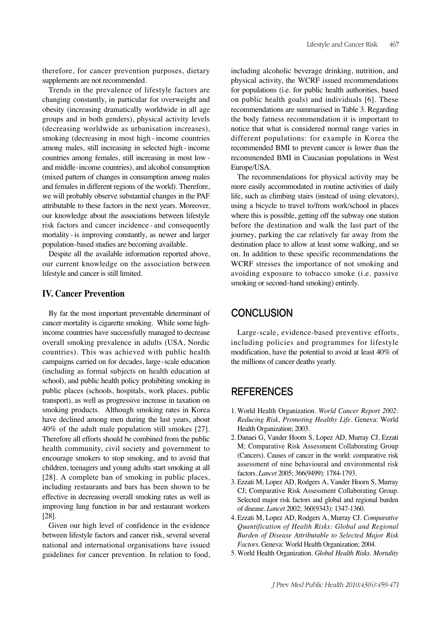therefore, for cancer prevention purposes, dietary supplements are not recommended.

Trends in the prevalence of lifestyle factors are changing constantly, in particular for overweight and obesity (increasing dramatically worldwide in all age groups and in both genders), physical activity levels (decreasing worldwide as urbanisation increases), smoking (decreasing in most high - income countries among males, still increasing in selected high - income countries among females, still increasing in most low and middle-income countries), and alcohol consumption (mixed pattern of changes in consumption among males and females in different regions of the world). Therefore, we will probably observe substantial changes in the PAF attributable to these factors in the next years. Moreover, our knowledge about the associations between lifestyle risk factors and cancer incidence - and consequently mortality - is improving constantly, as newer and larger population-based studies are becoming available.

Despite all the available information reported above, our current knowledge on the association between lifestyle and cancer is still limited.

### **IV. Cancer Prevention**

By far the most important preventable determinant of cancer mortality is cigarette smoking. While some highincome countries have successfully managed to decrease overall smoking prevalence in adults (USA, Nordic countries). This was achieved with public health campaigns carried on for decades, large-scale education (including as formal subjects on health education at school), and public health policy prohibiting smoking in public places (schools, hospitals, work places, public transport), as well as progressive increase in taxation on smoking products. Although smoking rates in Korea have declined among men during the last years, about 40% of the adult male population still smokes [27]. Therefore all efforts should be combined from the public health community, civil society and government to encourage smokers to stop smoking, and to avoid that children, teenagers and young adults start smoking at all [28]. A complete ban of smoking in public places, including restaurants and bars has been shown to be effective in decreasing overall smoking rates as well as improving lung function in bar and restaurant workers [28].

Given our high level of confidence in the evidence between lifestyle factors and cancer risk, several several national and international organisations have issued guidelines for cancer prevention. In relation to food, including alcoholic beverage drinking, nutrition, and physical activity, the WCRF issued recommendations for populations (i.e. for public health authorities, based on public health goals) and individuals [6]. These recommendations are summarised in Table 3. Regarding the body fatness recommendation it is important to notice that what is considered normal range varies in different populations: for example in Korea the recommended BMI to prevent cancer is lower than the recommended BMI in Caucasian populations in West Europe/USA.

The recommendations for physical activity may be more easily accommodated in routine activities of daily life, such as climbing stairs (instead of using elevators), using a bicycle to travel to/from work/school in places where this is possible, getting off the subway one station before the destination and walk the last part of the journey, parking the car relatively far away from the destination place to allow at least some walking, and so on. In addition to these specific recommendations the WCRF stresses the importance of not smoking and avoiding exposure to tobacco smoke (i.e. passive smoking or second-hand smoking) entirely.

# **CONCLUSION**

Large-scale, evidence-based preventive efforts, including policies and programmes for lifestyle modification, have the potential to avoid at least 40% of the millions of cancer deaths yearly.

# REFERENCES

- 1. World Health Organization. *World Cancer Report 2002: Reducing Risk, Promoting Healthy Life*. Geneva: World Health Organization; 2003.
- 2. Danaei G, Vander Hoorn S, Lopez AD, Murray CJ, Ezzati M; Comparative Risk Assessment Collaborating Group (Cancers). Causes of cancer in the world: comparative risk assessment of nine behavioural and environmental risk factors. *Lancet* 2005; 366(9499): 1784-1793.
- 3. Ezzati M, Lopez AD, Rodgers A, Vander Hoorn S, Murray CJ; Comparative Risk Assessment Collaborating Group. Selected major risk factors and global and regional burden of disease. *Lancet* 2002; 360(9343): 1347-1360.
- 4. Ezzati M, Lopez AD, Rodgers A, Murray CJ. *Comparative Quantification of Health Risks: Global and Regional Burden of Disease Attributable to Selected Major Risk Factors*. Geneva: World Health Organization; 2004.
- 5. World Health Organization. *Global Health Risks. Mortality*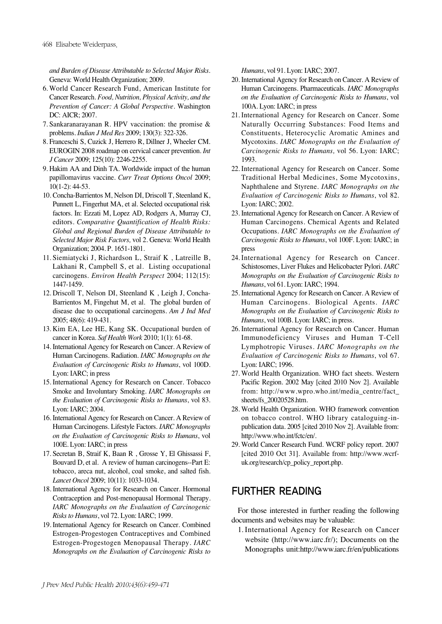*and Burden of Disease Attributable to Selected Major Risks.* Geneva: World Health Organization; 2009.

- 6. World Cancer Research Fund, American Institute for Cancer Research. *Food, Nutrition, Physical Activity, and the Prevention of Cancer: A Global Perspective*. Washington DC: AICR; 2007.
- 7. Sankaranarayanan R. HPV vaccination: the promise & problems. *Indian J Med Res* 2009; 130(3): 322-326.
- 8. Franceschi S, Cuzick J, Herrero R, Dillner J, Wheeler CM. EUROGIN 2008 roadmap on cervical cancer prevention. *Int J Cancer* 2009; 125(10): 2246-2255.
- 9. Hakim AA and Dinh TA. Worldwide impact of the human papillomavirus vaccine. *Curr Treat Options Oncol* 2009; 10(1-2): 44-53.
- 10. Concha-Barrientos M, Nelson DI, Driscoll T, Steenland K, Punnett L, Fingerhut MA, et al. Selected occupational risk factors. In: Ezzati M, Lopez AD, Rodgers A, Murray CJ, editors. *Comparative Quantification of Health Risks: Global and Regional Burden of Disease Attributable to Selected Major Risk Factors,* vol 2. Geneva: World Health Organization; 2004. P. 1651-1801.
- 11. Siemiatycki J, Richardson L, Straif K , Latreille B, Lakhani R, Campbell S, et al. Listing occupational carcinogens. *Environ Health Perspect* 2004; 112(15): 1447-1459.
- 12. Driscoll T, Nelson DI, Steenland K , Leigh J, Concha-Barrientos M, Fingehut M, et al. The global burden of disease due to occupational carcinogens. *Am J Ind Med* 2005; 48(6): 419-431.
- 13. Kim EA, Lee HE, Kang SK. Occupational burden of cancer in Korea. *Saf Health Work* 2010; 1(1): 61-68.
- 14. International Agency for Research on Cancer. A Review of Human Carcinogens. Radiation. *IARC Monographs on the Evaluation of Carcinogenic Risks to Humans*, vol 100D. Lyon: IARC; in press
- 15. International Agency for Research on Cancer. Tobacco Smoke and Involuntary Smoking. *IARC Monographs on the Evaluation of Carcinogenic Risks to Humans*, vol 83. Lyon: IARC; 2004.
- 16. International Agency for Research on Cancer. A Review of Human Carcinogens. Lifestyle Factors. *IARC Monographs on the Evaluation of Carcinogenic Risks to Humans*, vol 100E. Lyon: IARC; in press
- 17. Secretan B, Straif K, Baan R , Grosse Y, El Ghissassi F, Bouvard D, et al. A review of human carcinogens--Part E: tobacco, areca nut, alcohol, coal smoke, and salted fish. *Lancet Oncol* 2009; 10(11): 1033-1034.
- 18. International Agency for Research on Cancer. Hormonal Contraception and Post-menopausal Hormonal Therapy. *IARC Monographs on the Evaluation of Carcinogenic Risks to Humans*, vol 72. Lyon: IARC; 1999.
- 19. International Agency for Research on Cancer. Combined Estrogen-Progestogen Contraceptives and Combined Estrogen-Progestogen Menopausal Therapy. *IARC Monographs on the Evaluation of Carcinogenic Risks to*

*Humans*, vol 91. Lyon: IARC; 2007.

- 20. International Agency for Research on Cancer. A Review of Human Carcinogens. Pharmaceuticals. *IARC Monographs on the Evaluation of Carcinogenic Risks to Humans*, vol 100A. Lyon: IARC; in press
- 21. International Agency for Research on Cancer. Some Naturally Occurring Substances: Food Items and Constituents, Heterocyclic Aromatic Amines and Mycotoxins. *IARC Monographs on the Evaluation of Carcinogenic Risks to Humans,* vol 56. Lyon: IARC; 1993.
- 22. International Agency for Research on Cancer. Some Traditional Herbal Medicines, Some Mycotoxins, Naphthalene and Styrene. *IARC Monographs on the Evaluation of Carcinogenic Risks to Humans*, vol 82. Lyon: IARC; 2002.
- 23. International Agency for Research on Cancer. A Review of Human Carcinogens. Chemical Agents and Related Occupations. *IARC Monographs on the Evaluation of Carcinogenic Risks to Humans*, vol 100F. Lyon: IARC; in press
- 24. International Agency for Research on Cancer. Schistosomes, Liver Flukes and Helicobacter Pylori. *IARC Monographs on the Evaluation of Carcinogenic Risks to Humans*, vol 61. Lyon: IARC; 1994.
- 25. International Agency for Research on Cancer. A Review of Human Carcinogens. Biological Agents. *IARC Monographs on the Evaluation of Carcinogenic Risks to Humans*, vol 100B. Lyon: IARC; in press.
- 26. International Agency for Research on Cancer. Human Immunodeficiency Viruses and Human T-Cell Lymphotropic Viruses. *IARC Monographs on the Evaluation of Carcinogenic Risks to Humans*, vol 67. Lyon: IARC; 1996.
- 27. World Health Organization. WHO fact sheets. Western Pacific Region. 2002 May [cited 2010 Nov 2]. Available from: http://www.wpro.who.int/media\_centre/fact\_ sheets/fs\_20020528.htm.
- 28. World Health Organization. WHO framework convention on tobacco control. WHO library cataloguing-inpublication data. 2005 [cited 2010 Nov 2]. Available from: http://www.who.int/fctc/en/.
- 29. World Cancer Research Fund. WCRF policy report. 2007 [cited 2010 Oct 31]. Available from: http://www.wcrfuk.org/research/cp\_policy\_report.php.

# FURTHER READING

For those interested in further reading the following documents and websites may be valuable:

1. International Agency for Research on Cancer website (http://www.iarc.fr/); Documents on the Monographs unit:http://www.iarc.fr/en/publications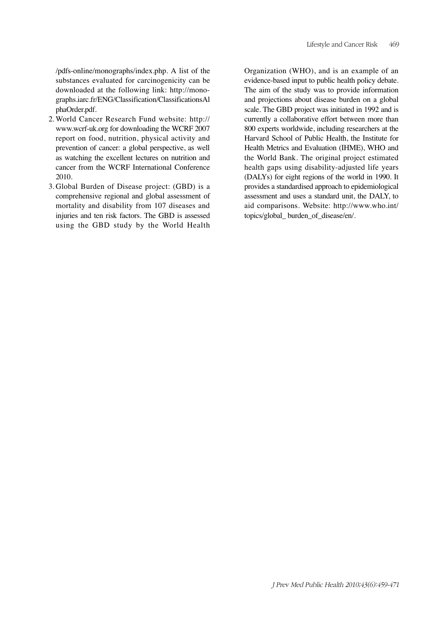/pdfs-online/monographs/index.php. A list of the substances evaluated for carcinogenicity can be downloaded at the following link: http://monographs.iarc.fr/ENG/Classification/ClassificationsAl phaOrder.pdf.

- 2. World Cancer Research Fund website: http:// www.wcrf-uk.org for downloading the WCRF 2007 report on food, nutrition, physical activity and prevention of cancer: a global perspective, as well as watching the excellent lectures on nutrition and cancer from the WCRF International Conference 2010.
- 3. Global Burden of Disease project: (GBD) is a comprehensive regional and global assessment of mortality and disability from 107 diseases and injuries and ten risk factors. The GBD is assessed using the GBD study by the World Health

Organization (WHO), and is an example of an evidence-based input to public health policy debate. The aim of the study was to provide information and projections about disease burden on a global scale. The GBD project was initiated in 1992 and is currently a collaborative effort between more than 800 experts worldwide, including researchers at the Harvard School of Public Health, the Institute for Health Metrics and Evaluation (IHME), WHO and the World Bank. The original project estimated health gaps using disability-adjusted life years (DALYs) for eight regions of the world in 1990. It provides a standardised approach to epidemiological assessment and uses a standard unit, the DALY, to aid comparisons. Website: http://www.who.int/ topics/global\_ burden\_of\_disease/en/.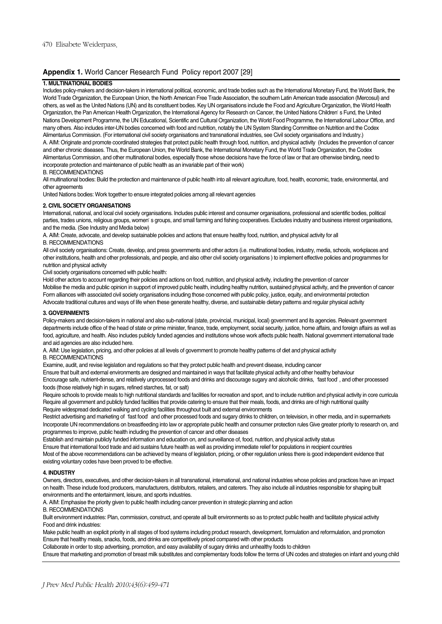### **Appendix 1.** World Cancer Research Fund Policy report 2007 [29]

#### **1. MULTINATIONAL BODIES**

Includes policy-makers and decision-takers in international political, economic, and trade bodies such as the International Monetary Fund, the World Bank, the World Trade Organization, the European Union, the North American Free Trade Association, the southern Latin American trade association (Mercosul) and others, as well as the United Nations (UN) and its constituent bodies. Key UN organisations include the Food and Agriculture Organization, the World Health Organization, the Pan American Health Organization, the International Agency for Research on Cancer, the United Nations Children's Fund, the United Nations Development Programme, the UN Educational, Scientific and Cultural Organization, the World Food Programme, the International Labour Office, and many others. Also includes inter-UN bodies concerned with food and nutrition, notably the UN System Standing Committee on Nutrition and the Codex Alimentarius Commission. (For international civil society organisations and transnational industries, see Civil society organisations and Industry.) A. AIM: Originate and promote coordinated strategies that protect public health through food, nutrition, and physical activity (Includes the prevention of cancer and other chronic diseases. Thus, the European Union, the World Bank, the International Monetary Fund, the World Trade Organization, the Codex Alimentarius Commission, and other multinational bodies, especially those whose decisions have the force of law or that are otherwise binding, need to incorporate protection and maintenance of public health as an invariable part of their work)

#### B. RECOMMENDATIONS

All multinational bodies: Build the protection and maintenance of public health into all relevant agriculture, food, health, economic, trade, environmental, and other agreements

United Nations bodies: Work together to ensure integrated policies among all relevant agencies

#### **2. CIVIL SOCIETY ORGANISATIONS**

International, national, and local civil society organisations. Includes public interest and consumer organisations, professional and scientific bodies, political parties, trades unions, religious groups, women's groups, and small farming and fishing cooperatives. Excludes industry and business interest organisations, and the media. (See Industry and Media below)

A. AIM: Create, advocate, and develop sustainable policies and actions that ensure healthy food, nutrition, and physical activity for all B. RECOMMENDATIONS

All civil society organisations: Create, develop, and press governments and other actors (i.e. multinational bodies, industry, media, schools, workplaces and other institutions, health and other professionals, and people, and also other civil society organisations ) to implement effective policies and programmes for nutrition and physical activity

Civil society organisations concerned with public health:

Hold other actors to account regarding their policies and actions on food, nutrition, and physical activity, including the prevention of cancer Mobilise the media and public opinion in support of improved public health, including healthy nutrition, sustained physical activity, and the prevention of cancer Form alliances with associated civil society organisations including those concerned with public policy, justice, equity, and environmental protection Advocate traditional cultures and ways of life when these generate healthy, diverse, and sustainable dietary patterns and regular physical activity

#### **3. GOVERNMENTS**

Policy-makers and decision-takers in national and also sub-national (state, provincial, municipal, local) government and its agencies. Relevant government departments include office of the head of state or prime minister, finance, trade, employment, social security, justice, home affairs, and foreign affairs as well as food, agriculture, and health. Also includes publicly funded agencies and institutions whose work affects public health. National government international trade and aid agencies are also included here.

A. AIM: Use legislation, pricing, and other policies at all levels of government to promote healthy patterns of diet and physical activity

### B. RECOMMENDATIONS

Examine, audit, and revise legislation and regulations so that they protect public health and prevent disease, including cancer

Ensure that built and external environments are designed and maintained in ways that facilitate physical activity and other healthy behaviour Encourage safe, nutrient-dense, and relatively unprocessed foods and drinks and discourage sugary and alcoholic drinks, 'fast food', and other processed foods (those relatively high in sugars, refined starches, fat, or salt)

Require schools to provide meals to high nutritional standards and facilities for recreation and sport, and to include nutrition and physical activity in core curricula Require all government and publicly funded facilities that provide catering to ensure that their meals, foods, and drinks are of high nutritional quality Require widespread dedicated walking and cycling facilities throughout built and external environments

Restrict advertising and marketing of 'fast food' and other processed foods and sugary drinks to children, on television, in other media, and in supermarkets Incorporate UN recommendations on breastfeeding into law or appropriate public health and consumer protection rules Give greater priority to research on, and programmes to improve, public health including the prevention of cancer and other diseases

Establish and maintain publicly funded information and education on, and surveillance of, food, nutrition, and physical activity status

Ensure that international food trade and aid sustains future health as well as providing immediate relief for populations in recipient countries

Most of the above recommendations can be achieved by means of legislation, pricing, or other regulation unless there is good independent evidence that existing voluntary codes have been proved to be effective.

#### **4. INDUSTRY**

Owners, directors, executives, and other decision-takers in all transnational, international, and national industries whose policies and practices have an impact on health. These include food producers, manufacturers, distributors, retailers, and caterers. They also include all industries responsible for shaping built environments and the entertainment, leisure, and sports industries.

A. AIM: Emphasise the priority given to public health including cancer prevention in strategic planning and action

#### B. RECOMMENDATIONS

Built environment industries: Plan, commission, construct, and operate all built environments so as to protect public health and facilitate physical activity Food and drink industries:

Make public health an explicit priority in all stages of food systems including product research, development, formulation and reformulation, and promotion Ensure that healthy meals, snacks, foods, and drinks are competitively priced compared with other products

Collaborate in order to stop advertising, promotion, and easy availability of sugary drinks and unhealthy foods to children

Ensure that marketing and promotion of breast milk substitutes and complementary foods follow the terms of UN codes and strategies on infant and young child